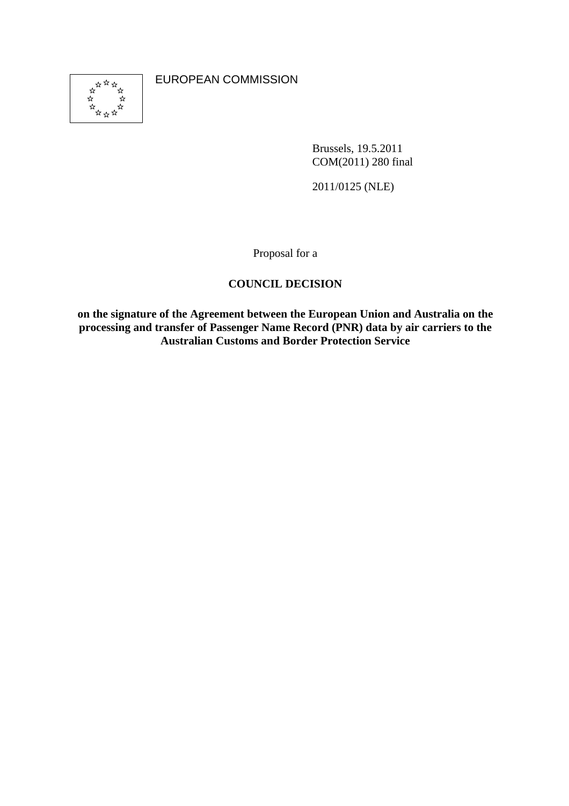

EUROPEAN COMMISSION

Brussels, 19.5.2011 COM(2011) 280 final

2011/0125 (NLE)

Proposal for a

### **COUNCIL DECISION**

**on the signature of the Agreement between the European Union and Australia on the processing and transfer of Passenger Name Record (PNR) data by air carriers to the Australian Customs and Border Protection Service**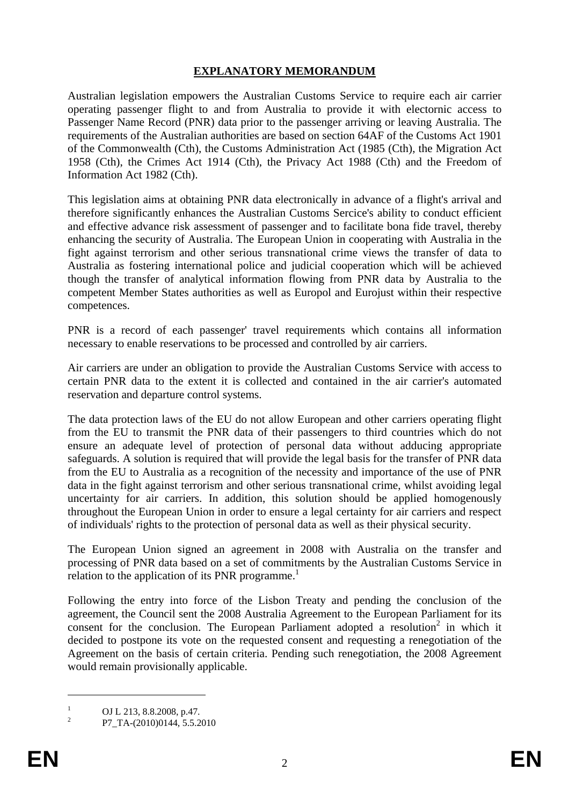# **EXPLANATORY MEMORANDUM**

Australian legislation empowers the Australian Customs Service to require each air carrier operating passenger flight to and from Australia to provide it with electornic access to Passenger Name Record (PNR) data prior to the passenger arriving or leaving Australia. The requirements of the Australian authorities are based on section 64AF of the Customs Act 1901 of the Commonwealth (Cth), the Customs Administration Act (1985 (Cth), the Migration Act 1958 (Cth), the Crimes Act 1914 (Cth), the Privacy Act 1988 (Cth) and the Freedom of Information Act 1982 (Cth).

This legislation aims at obtaining PNR data electronically in advance of a flight's arrival and therefore significantly enhances the Australian Customs Sercice's ability to conduct efficient and effective advance risk assessment of passenger and to facilitate bona fide travel, thereby enhancing the security of Australia. The European Union in cooperating with Australia in the fight against terrorism and other serious transnational crime views the transfer of data to Australia as fostering international police and judicial cooperation which will be achieved though the transfer of analytical information flowing from PNR data by Australia to the competent Member States authorities as well as Europol and Eurojust within their respective competences.

PNR is a record of each passenger' travel requirements which contains all information necessary to enable reservations to be processed and controlled by air carriers.

Air carriers are under an obligation to provide the Australian Customs Service with access to certain PNR data to the extent it is collected and contained in the air carrier's automated reservation and departure control systems.

The data protection laws of the EU do not allow European and other carriers operating flight from the EU to transmit the PNR data of their passengers to third countries which do not ensure an adequate level of protection of personal data without adducing appropriate safeguards. A solution is required that will provide the legal basis for the transfer of PNR data from the EU to Australia as a recognition of the necessity and importance of the use of PNR data in the fight against terrorism and other serious transnational crime, whilst avoiding legal uncertainty for air carriers. In addition, this solution should be applied homogenously throughout the European Union in order to ensure a legal certainty for air carriers and respect of individuals' rights to the protection of personal data as well as their physical security.

The European Union signed an agreement in 2008 with Australia on the transfer and processing of PNR data based on a set of commitments by the Australian Customs Service in relation to the application of its PNR programme.<sup>1</sup>

Following the entry into force of the Lisbon Treaty and pending the conclusion of the agreement, the Council sent the 2008 Australia Agreement to the European Parliament for its consent for the conclusion. The European Parliament adopted a resolution<sup>2</sup> in which it decided to postpone its vote on the requested consent and requesting a renegotiation of the Agreement on the basis of certain criteria. Pending such renegotiation, the 2008 Agreement would remain provisionally applicable.

<u>.</u>

<sup>1</sup> OJ L 213, 8.8.2008, p.47.

<sup>2</sup> P7\_TA-(2010)0144, 5.5.2010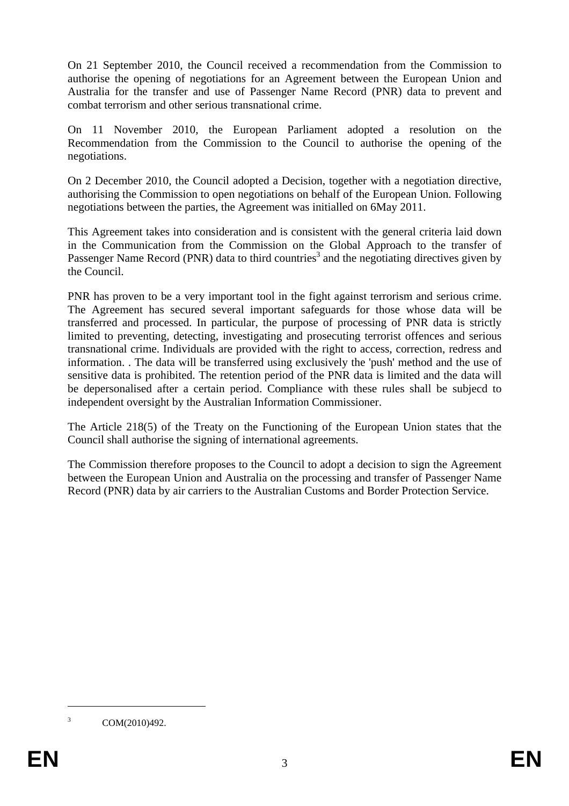On 21 September 2010, the Council received a recommendation from the Commission to authorise the opening of negotiations for an Agreement between the European Union and Australia for the transfer and use of Passenger Name Record (PNR) data to prevent and combat terrorism and other serious transnational crime.

On 11 November 2010, the European Parliament adopted a resolution on the Recommendation from the Commission to the Council to authorise the opening of the negotiations.

On 2 December 2010, the Council adopted a Decision, together with a negotiation directive, authorising the Commission to open negotiations on behalf of the European Union. Following negotiations between the parties, the Agreement was initialled on 6May 2011.

This Agreement takes into consideration and is consistent with the general criteria laid down in the Communication from the Commission on the Global Approach to the transfer of Passenger Name Record (PNR) data to third countries<sup>3</sup> and the negotiating directives given by the Council.

PNR has proven to be a very important tool in the fight against terrorism and serious crime. The Agreement has secured several important safeguards for those whose data will be transferred and processed. In particular, the purpose of processing of PNR data is strictly limited to preventing, detecting, investigating and prosecuting terrorist offences and serious transnational crime. Individuals are provided with the right to access, correction, redress and information. . The data will be transferred using exclusively the 'push' method and the use of sensitive data is prohibited. The retention period of the PNR data is limited and the data will be depersonalised after a certain period. Compliance with these rules shall be subjecd to independent oversight by the Australian Information Commissioner.

The Article 218(5) of the Treaty on the Functioning of the European Union states that the Council shall authorise the signing of international agreements.

The Commission therefore proposes to the Council to adopt a decision to sign the Agreement between the European Union and Australia on the processing and transfer of Passenger Name Record (PNR) data by air carriers to the Australian Customs and Border Protection Service.

1

<sup>3</sup> COM(2010)492.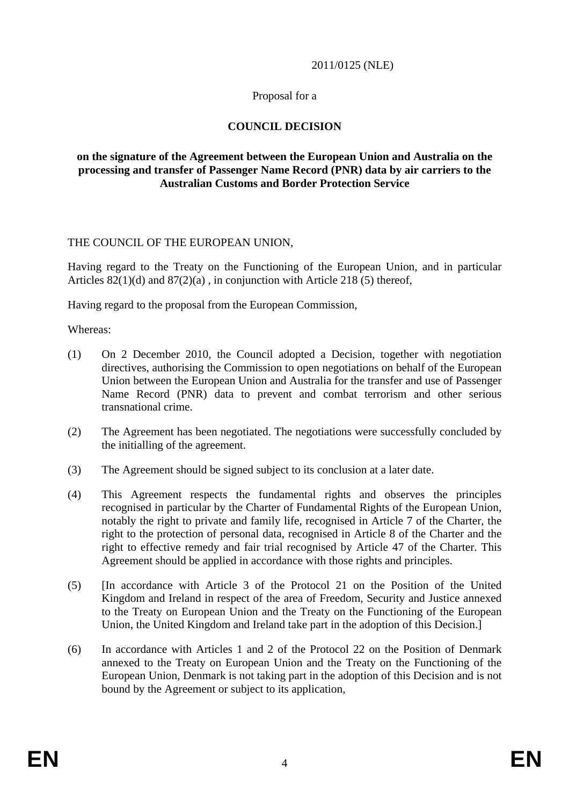### 2011/0125 (NLE)

### Proposal for a

### **COUNCIL DECISION**

### **on the signature of the Agreement between the European Union and Australia on the processing and transfer of Passenger Name Record (PNR) data by air carriers to the Australian Customs and Border Protection Service**

#### THE COUNCIL OF THE EUROPEAN UNION,

Having regard to the Treaty on the Functioning of the European Union, and in particular Articles  $82(1)(d)$  and  $87(2)(a)$ , in conjunction with Article 218 (5) thereof,

Having regard to the proposal from the European Commission,

Whereas:

- (1) On 2 December 2010, the Council adopted a Decision, together with negotiation directives, authorising the Commission to open negotiations on behalf of the European Union between the European Union and Australia for the transfer and use of Passenger Name Record (PNR) data to prevent and combat terrorism and other serious transnational crime.
- (2) The Agreement has been negotiated. The negotiations were successfully concluded by the initialling of the agreement.
- (3) The Agreement should be signed subject to its conclusion at a later date.
- (4) This Agreement respects the fundamental rights and observes the principles recognised in particular by the Charter of Fundamental Rights of the European Union, notably the right to private and family life, recognised in Article 7 of the Charter, the right to the protection of personal data, recognised in Article 8 of the Charter and the right to effective remedy and fair trial recognised by Article 47 of the Charter. This Agreement should be applied in accordance with those rights and principles.
- (5) [In accordance with Article 3 of the Protocol 21 on the Position of the United Kingdom and Ireland in respect of the area of Freedom, Security and Justice annexed to the Treaty on European Union and the Treaty on the Functioning of the European Union, the United Kingdom and Ireland take part in the adoption of this Decision.]
- (6) In accordance with Articles 1 and 2 of the Protocol 22 on the Position of Denmark annexed to the Treaty on European Union and the Treaty on the Functioning of the European Union, Denmark is not taking part in the adoption of this Decision and is not bound by the Agreement or subject to its application,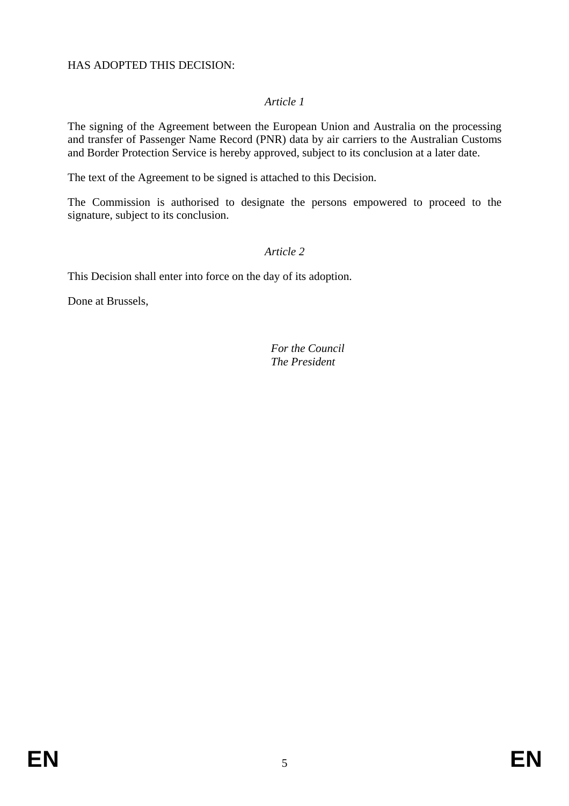## HAS ADOPTED THIS DECISION:

### *Article 1*

The signing of the Agreement between the European Union and Australia on the processing and transfer of Passenger Name Record (PNR) data by air carriers to the Australian Customs and Border Protection Service is hereby approved, subject to its conclusion at a later date.

The text of the Agreement to be signed is attached to this Decision.

The Commission is authorised to designate the persons empowered to proceed to the signature, subject to its conclusion.

### *Article 2*

This Decision shall enter into force on the day of its adoption.

Done at Brussels,

#### *For the Council The President*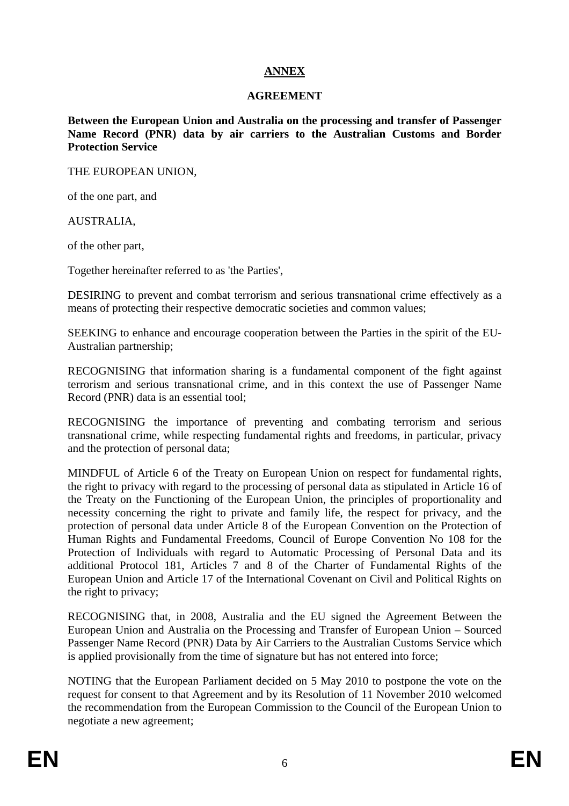# **ANNEX**

### **AGREEMENT**

**Between the European Union and Australia on the processing and transfer of Passenger Name Record (PNR) data by air carriers to the Australian Customs and Border Protection Service** 

THE EUROPEAN UNION,

of the one part, and

AUSTRALIA,

of the other part,

Together hereinafter referred to as 'the Parties',

DESIRING to prevent and combat terrorism and serious transnational crime effectively as a means of protecting their respective democratic societies and common values;

SEEKING to enhance and encourage cooperation between the Parties in the spirit of the EU-Australian partnership;

RECOGNISING that information sharing is a fundamental component of the fight against terrorism and serious transnational crime, and in this context the use of Passenger Name Record (PNR) data is an essential tool;

RECOGNISING the importance of preventing and combating terrorism and serious transnational crime, while respecting fundamental rights and freedoms, in particular, privacy and the protection of personal data;

MINDFUL of Article 6 of the Treaty on European Union on respect for fundamental rights, the right to privacy with regard to the processing of personal data as stipulated in Article 16 of the Treaty on the Functioning of the European Union, the principles of proportionality and necessity concerning the right to private and family life, the respect for privacy, and the protection of personal data under Article 8 of the European Convention on the Protection of Human Rights and Fundamental Freedoms, Council of Europe Convention No 108 for the Protection of Individuals with regard to Automatic Processing of Personal Data and its additional Protocol 181, Articles 7 and 8 of the Charter of Fundamental Rights of the European Union and Article 17 of the International Covenant on Civil and Political Rights on the right to privacy;

RECOGNISING that, in 2008, Australia and the EU signed the Agreement Between the European Union and Australia on the Processing and Transfer of European Union – Sourced Passenger Name Record (PNR) Data by Air Carriers to the Australian Customs Service which is applied provisionally from the time of signature but has not entered into force;

NOTING that the European Parliament decided on 5 May 2010 to postpone the vote on the request for consent to that Agreement and by its Resolution of 11 November 2010 welcomed the recommendation from the European Commission to the Council of the European Union to negotiate a new agreement;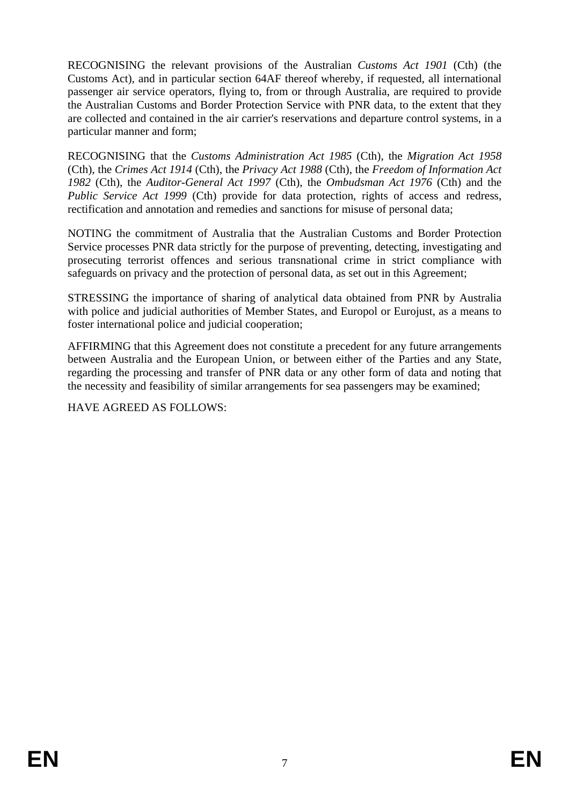RECOGNISING the relevant provisions of the Australian *Customs Act 1901* (Cth) (the Customs Act), and in particular section 64AF thereof whereby, if requested, all international passenger air service operators, flying to, from or through Australia, are required to provide the Australian Customs and Border Protection Service with PNR data, to the extent that they are collected and contained in the air carrier's reservations and departure control systems, in a particular manner and form;

RECOGNISING that the *Customs Administration Act 1985* (Cth), the *Migration Act 1958* (Cth), the *Crimes Act 1914* (Cth), the *Privacy Act 1988* (Cth), the *Freedom of Information Act 1982* (Cth), the *Auditor-General Act 1997* (Cth), the *Ombudsman Act 1976* (Cth) and the *Public Service Act 1999* (Cth) provide for data protection, rights of access and redress, rectification and annotation and remedies and sanctions for misuse of personal data;

NOTING the commitment of Australia that the Australian Customs and Border Protection Service processes PNR data strictly for the purpose of preventing, detecting, investigating and prosecuting terrorist offences and serious transnational crime in strict compliance with safeguards on privacy and the protection of personal data, as set out in this Agreement;

STRESSING the importance of sharing of analytical data obtained from PNR by Australia with police and judicial authorities of Member States, and Europol or Eurojust, as a means to foster international police and judicial cooperation;

AFFIRMING that this Agreement does not constitute a precedent for any future arrangements between Australia and the European Union, or between either of the Parties and any State, regarding the processing and transfer of PNR data or any other form of data and noting that the necessity and feasibility of similar arrangements for sea passengers may be examined;

HAVE AGREED AS FOLLOWS: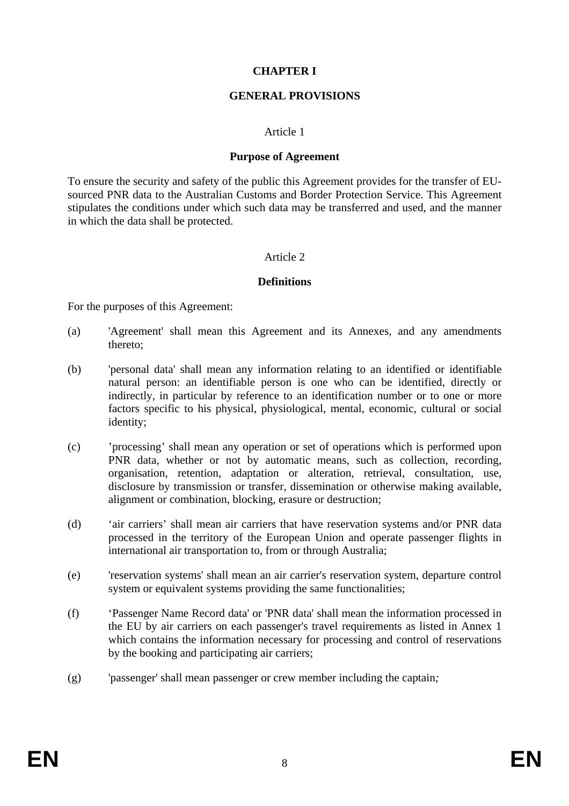### **CHAPTER I**

#### **GENERAL PROVISIONS**

#### Article 1

#### **Purpose of Agreement**

To ensure the security and safety of the public this Agreement provides for the transfer of EUsourced PNR data to the Australian Customs and Border Protection Service. This Agreement stipulates the conditions under which such data may be transferred and used, and the manner in which the data shall be protected.

#### Article 2

#### **Definitions**

For the purposes of this Agreement:

- (a) 'Agreement' shall mean this Agreement and its Annexes, and any amendments thereto;
- (b) 'personal data' shall mean any information relating to an identified or identifiable natural person: an identifiable person is one who can be identified, directly or indirectly, in particular by reference to an identification number or to one or more factors specific to his physical, physiological, mental, economic, cultural or social identity;
- (c) 'processing' shall mean any operation or set of operations which is performed upon PNR data, whether or not by automatic means, such as collection, recording, organisation, retention, adaptation or alteration, retrieval, consultation, use, disclosure by transmission or transfer, dissemination or otherwise making available, alignment or combination, blocking, erasure or destruction;
- (d) 'air carriers' shall mean air carriers that have reservation systems and/or PNR data processed in the territory of the European Union and operate passenger flights in international air transportation to, from or through Australia;
- (e) 'reservation systems' shall mean an air carrier's reservation system, departure control system or equivalent systems providing the same functionalities;
- (f) 'Passenger Name Record data' or 'PNR data' shall mean the information processed in the EU by air carriers on each passenger's travel requirements as listed in Annex 1 which contains the information necessary for processing and control of reservations by the booking and participating air carriers;
- (g) 'passenger' shall mean passenger or crew member including the captain*;*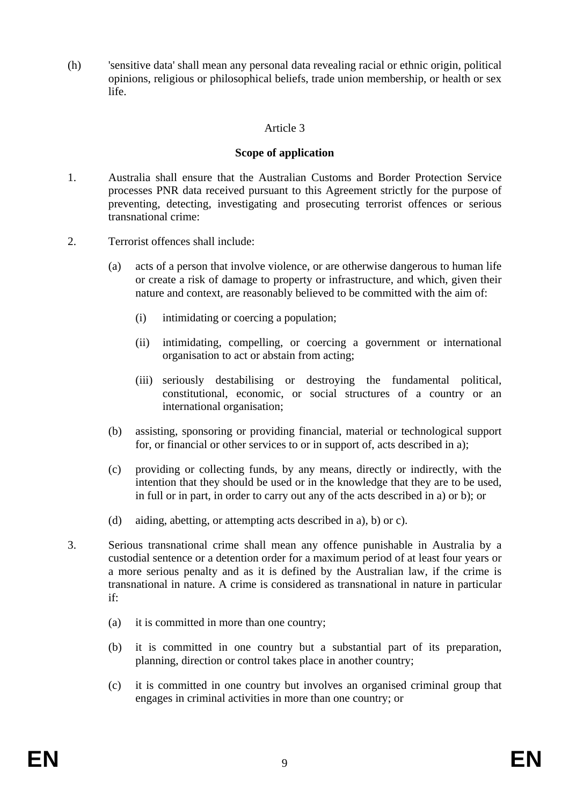(h) 'sensitive data' shall mean any personal data revealing racial or ethnic origin, political opinions, religious or philosophical beliefs, trade union membership, or health or sex life.

### Article 3

### **Scope of application**

- 1. Australia shall ensure that the Australian Customs and Border Protection Service processes PNR data received pursuant to this Agreement strictly for the purpose of preventing, detecting, investigating and prosecuting terrorist offences or serious transnational crime:
- 2. Terrorist offences shall include:
	- (a) acts of a person that involve violence, or are otherwise dangerous to human life or create a risk of damage to property or infrastructure, and which, given their nature and context, are reasonably believed to be committed with the aim of:
		- (i) intimidating or coercing a population;
		- (ii) intimidating, compelling, or coercing a government or international organisation to act or abstain from acting;
		- (iii) seriously destabilising or destroying the fundamental political, constitutional, economic, or social structures of a country or an international organisation;
	- (b) assisting, sponsoring or providing financial, material or technological support for, or financial or other services to or in support of, acts described in a);
	- (c) providing or collecting funds, by any means, directly or indirectly, with the intention that they should be used or in the knowledge that they are to be used, in full or in part, in order to carry out any of the acts described in a) or b); or
	- (d) aiding, abetting, or attempting acts described in a), b) or c).
- 3. Serious transnational crime shall mean any offence punishable in Australia by a custodial sentence or a detention order for a maximum period of at least four years or a more serious penalty and as it is defined by the Australian law, if the crime is transnational in nature. A crime is considered as transnational in nature in particular if:
	- (a) it is committed in more than one country;
	- (b) it is committed in one country but a substantial part of its preparation, planning, direction or control takes place in another country;
	- (c) it is committed in one country but involves an organised criminal group that engages in criminal activities in more than one country; or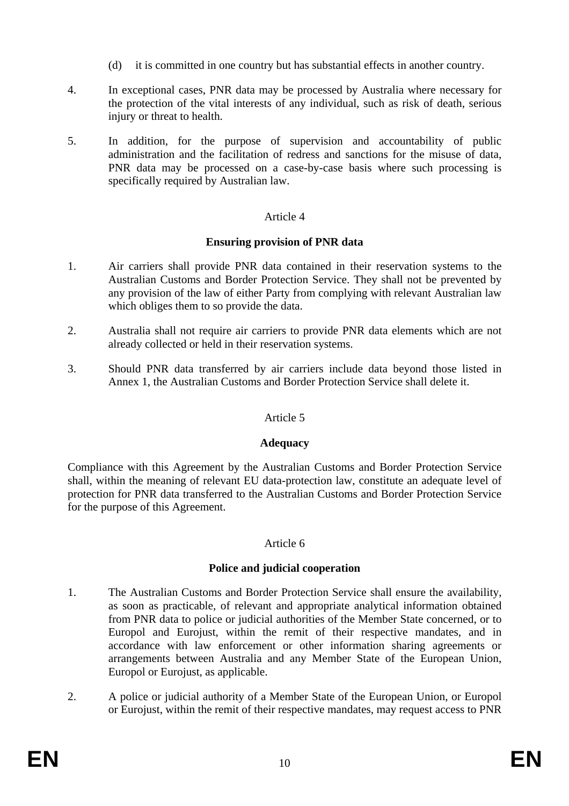- (d) it is committed in one country but has substantial effects in another country.
- 4. In exceptional cases, PNR data may be processed by Australia where necessary for the protection of the vital interests of any individual, such as risk of death, serious injury or threat to health.
- 5. In addition, for the purpose of supervision and accountability of public administration and the facilitation of redress and sanctions for the misuse of data, PNR data may be processed on a case-by-case basis where such processing is specifically required by Australian law.

### **Ensuring provision of PNR data**

- 1. Air carriers shall provide PNR data contained in their reservation systems to the Australian Customs and Border Protection Service. They shall not be prevented by any provision of the law of either Party from complying with relevant Australian law which obliges them to so provide the data.
- 2. Australia shall not require air carriers to provide PNR data elements which are not already collected or held in their reservation systems.
- 3. Should PNR data transferred by air carriers include data beyond those listed in Annex 1, the Australian Customs and Border Protection Service shall delete it.

## Article 5

### **Adequacy**

Compliance with this Agreement by the Australian Customs and Border Protection Service shall, within the meaning of relevant EU data-protection law, constitute an adequate level of protection for PNR data transferred to the Australian Customs and Border Protection Service for the purpose of this Agreement.

### Article 6

## **Police and judicial cooperation**

- 1. The Australian Customs and Border Protection Service shall ensure the availability, as soon as practicable, of relevant and appropriate analytical information obtained from PNR data to police or judicial authorities of the Member State concerned, or to Europol and Eurojust, within the remit of their respective mandates, and in accordance with law enforcement or other information sharing agreements or arrangements between Australia and any Member State of the European Union, Europol or Eurojust, as applicable.
- 2. A police or judicial authority of a Member State of the European Union, or Europol or Eurojust, within the remit of their respective mandates, may request access to PNR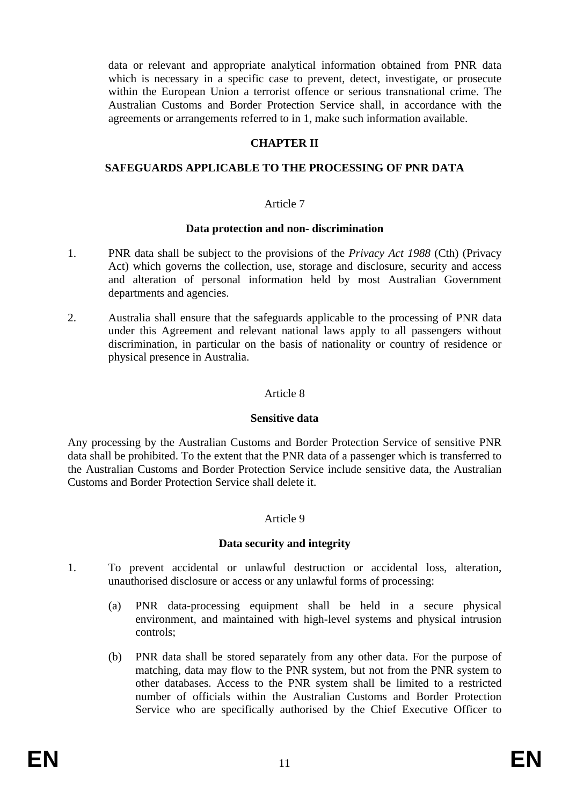data or relevant and appropriate analytical information obtained from PNR data which is necessary in a specific case to prevent, detect, investigate, or prosecute within the European Union a terrorist offence or serious transnational crime. The Australian Customs and Border Protection Service shall, in accordance with the agreements or arrangements referred to in 1, make such information available.

#### **CHAPTER II**

#### **SAFEGUARDS APPLICABLE TO THE PROCESSING OF PNR DATA**

#### Article 7

#### **Data protection and non- discrimination**

- 1. PNR data shall be subject to the provisions of the *Privacy Act 1988* (Cth) (Privacy Act) which governs the collection, use, storage and disclosure, security and access and alteration of personal information held by most Australian Government departments and agencies.
- 2. Australia shall ensure that the safeguards applicable to the processing of PNR data under this Agreement and relevant national laws apply to all passengers without discrimination, in particular on the basis of nationality or country of residence or physical presence in Australia.

#### Article 8

#### **Sensitive data**

Any processing by the Australian Customs and Border Protection Service of sensitive PNR data shall be prohibited. To the extent that the PNR data of a passenger which is transferred to the Australian Customs and Border Protection Service include sensitive data, the Australian Customs and Border Protection Service shall delete it.

### Article 9

#### **Data security and integrity**

- 1. To prevent accidental or unlawful destruction or accidental loss, alteration, unauthorised disclosure or access or any unlawful forms of processing:
	- (a) PNR data-processing equipment shall be held in a secure physical environment, and maintained with high-level systems and physical intrusion controls;
	- (b) PNR data shall be stored separately from any other data. For the purpose of matching, data may flow to the PNR system, but not from the PNR system to other databases. Access to the PNR system shall be limited to a restricted number of officials within the Australian Customs and Border Protection Service who are specifically authorised by the Chief Executive Officer to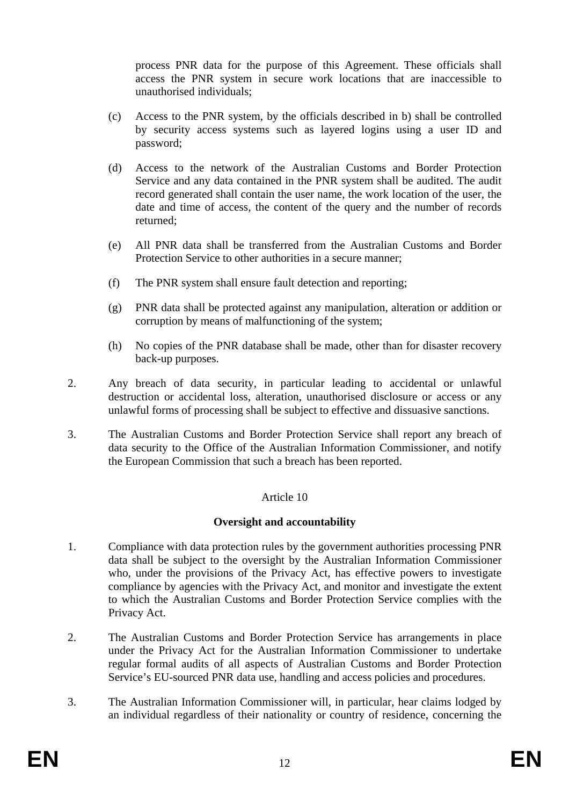process PNR data for the purpose of this Agreement. These officials shall access the PNR system in secure work locations that are inaccessible to unauthorised individuals;

- (c) Access to the PNR system, by the officials described in b) shall be controlled by security access systems such as layered logins using a user ID and password;
- (d) Access to the network of the Australian Customs and Border Protection Service and any data contained in the PNR system shall be audited. The audit record generated shall contain the user name, the work location of the user, the date and time of access, the content of the query and the number of records returned;
- (e) All PNR data shall be transferred from the Australian Customs and Border Protection Service to other authorities in a secure manner;
- (f) The PNR system shall ensure fault detection and reporting;
- (g) PNR data shall be protected against any manipulation, alteration or addition or corruption by means of malfunctioning of the system;
- (h) No copies of the PNR database shall be made, other than for disaster recovery back-up purposes.
- 2. Any breach of data security, in particular leading to accidental or unlawful destruction or accidental loss, alteration, unauthorised disclosure or access or any unlawful forms of processing shall be subject to effective and dissuasive sanctions.
- 3. The Australian Customs and Border Protection Service shall report any breach of data security to the Office of the Australian Information Commissioner, and notify the European Commission that such a breach has been reported.

### Article 10

### **Oversight and accountability**

- 1. Compliance with data protection rules by the government authorities processing PNR data shall be subject to the oversight by the Australian Information Commissioner who, under the provisions of the Privacy Act, has effective powers to investigate compliance by agencies with the Privacy Act, and monitor and investigate the extent to which the Australian Customs and Border Protection Service complies with the Privacy Act.
- 2. The Australian Customs and Border Protection Service has arrangements in place under the Privacy Act for the Australian Information Commissioner to undertake regular formal audits of all aspects of Australian Customs and Border Protection Service's EU-sourced PNR data use, handling and access policies and procedures.
- 3. The Australian Information Commissioner will, in particular, hear claims lodged by an individual regardless of their nationality or country of residence, concerning the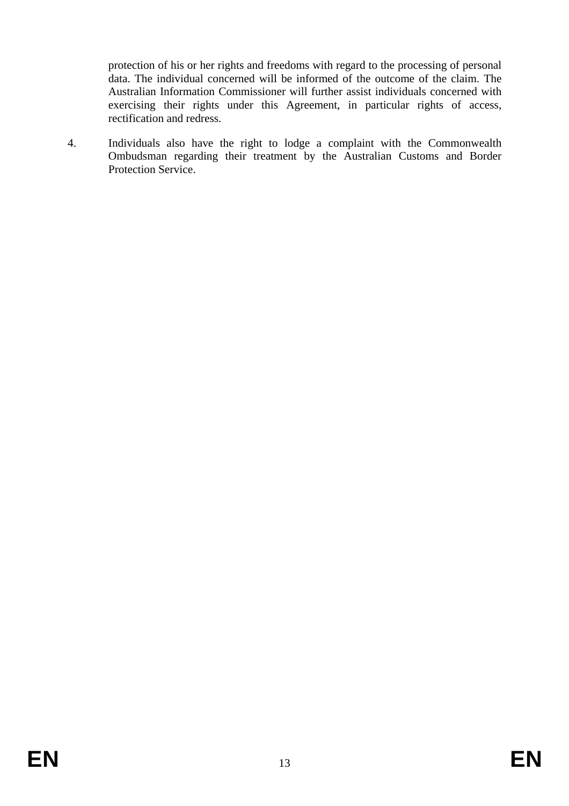protection of his or her rights and freedoms with regard to the processing of personal data. The individual concerned will be informed of the outcome of the claim. The Australian Information Commissioner will further assist individuals concerned with exercising their rights under this Agreement, in particular rights of access, rectification and redress.

4. Individuals also have the right to lodge a complaint with the Commonwealth Ombudsman regarding their treatment by the Australian Customs and Border Protection Service.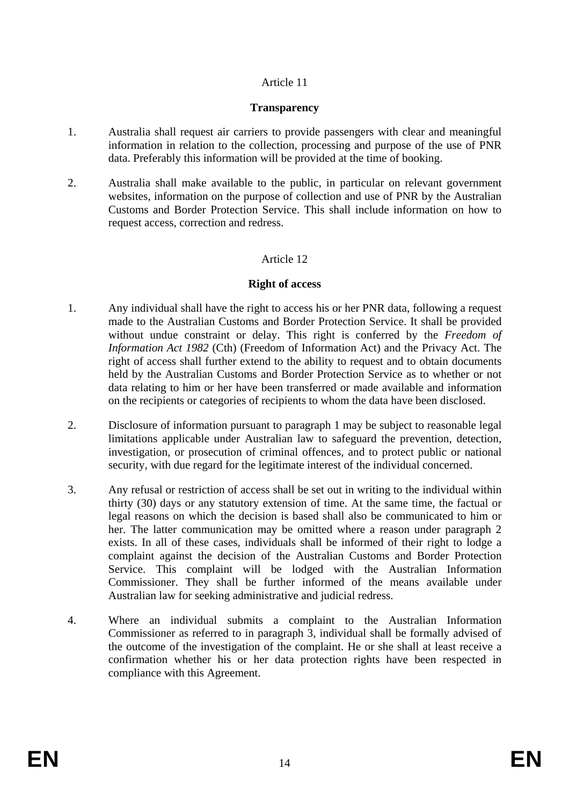#### **Transparency**

- 1. Australia shall request air carriers to provide passengers with clear and meaningful information in relation to the collection, processing and purpose of the use of PNR data. Preferably this information will be provided at the time of booking.
- 2. Australia shall make available to the public, in particular on relevant government websites, information on the purpose of collection and use of PNR by the Australian Customs and Border Protection Service. This shall include information on how to request access, correction and redress.

### Article 12

### **Right of access**

- 1. Any individual shall have the right to access his or her PNR data, following a request made to the Australian Customs and Border Protection Service. It shall be provided without undue constraint or delay. This right is conferred by the *Freedom of Information Act 1982* (Cth) (Freedom of Information Act) and the Privacy Act. The right of access shall further extend to the ability to request and to obtain documents held by the Australian Customs and Border Protection Service as to whether or not data relating to him or her have been transferred or made available and information on the recipients or categories of recipients to whom the data have been disclosed.
- 2. Disclosure of information pursuant to paragraph 1 may be subject to reasonable legal limitations applicable under Australian law to safeguard the prevention, detection, investigation, or prosecution of criminal offences, and to protect public or national security, with due regard for the legitimate interest of the individual concerned.
- 3. Any refusal or restriction of access shall be set out in writing to the individual within thirty (30) days or any statutory extension of time. At the same time, the factual or legal reasons on which the decision is based shall also be communicated to him or her. The latter communication may be omitted where a reason under paragraph 2 exists. In all of these cases, individuals shall be informed of their right to lodge a complaint against the decision of the Australian Customs and Border Protection Service. This complaint will be lodged with the Australian Information Commissioner. They shall be further informed of the means available under Australian law for seeking administrative and judicial redress.
- 4. Where an individual submits a complaint to the Australian Information Commissioner as referred to in paragraph 3, individual shall be formally advised of the outcome of the investigation of the complaint. He or she shall at least receive a confirmation whether his or her data protection rights have been respected in compliance with this Agreement.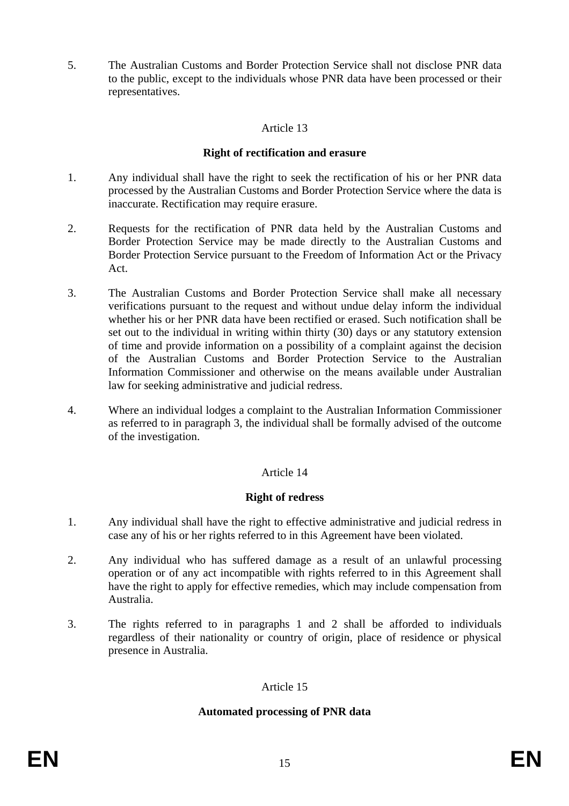5. The Australian Customs and Border Protection Service shall not disclose PNR data to the public, except to the individuals whose PNR data have been processed or their representatives.

### Article 13

### **Right of rectification and erasure**

- 1. Any individual shall have the right to seek the rectification of his or her PNR data processed by the Australian Customs and Border Protection Service where the data is inaccurate. Rectification may require erasure.
- 2. Requests for the rectification of PNR data held by the Australian Customs and Border Protection Service may be made directly to the Australian Customs and Border Protection Service pursuant to the Freedom of Information Act or the Privacy Act.
- 3. The Australian Customs and Border Protection Service shall make all necessary verifications pursuant to the request and without undue delay inform the individual whether his or her PNR data have been rectified or erased. Such notification shall be set out to the individual in writing within thirty (30) days or any statutory extension of time and provide information on a possibility of a complaint against the decision of the Australian Customs and Border Protection Service to the Australian Information Commissioner and otherwise on the means available under Australian law for seeking administrative and judicial redress.
- 4. Where an individual lodges a complaint to the Australian Information Commissioner as referred to in paragraph 3, the individual shall be formally advised of the outcome of the investigation.

### Article 14

### **Right of redress**

- 1. Any individual shall have the right to effective administrative and judicial redress in case any of his or her rights referred to in this Agreement have been violated.
- 2. Any individual who has suffered damage as a result of an unlawful processing operation or of any act incompatible with rights referred to in this Agreement shall have the right to apply for effective remedies, which may include compensation from Australia.
- 3. The rights referred to in paragraphs 1 and 2 shall be afforded to individuals regardless of their nationality or country of origin, place of residence or physical presence in Australia.

## Article 15

### **Automated processing of PNR data**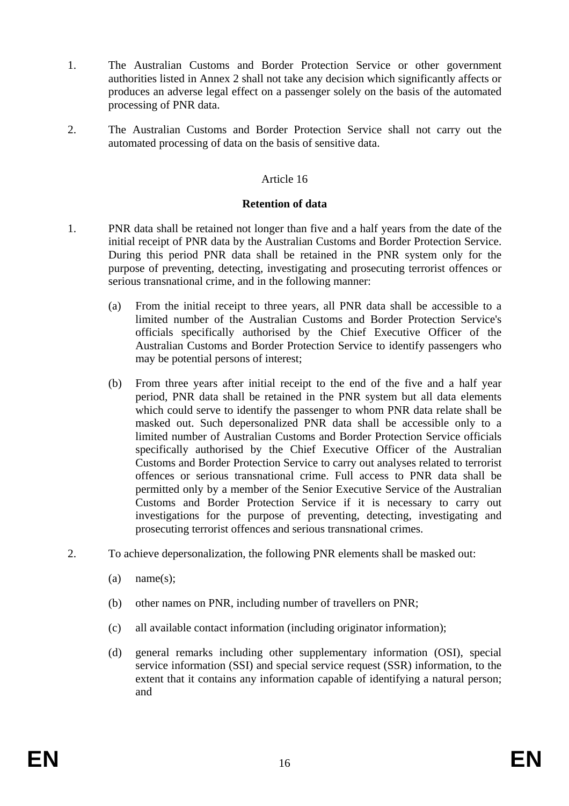- 1. The Australian Customs and Border Protection Service or other government authorities listed in Annex 2 shall not take any decision which significantly affects or produces an adverse legal effect on a passenger solely on the basis of the automated processing of PNR data.
- 2. The Australian Customs and Border Protection Service shall not carry out the automated processing of data on the basis of sensitive data.

#### **Retention of data**

- 1. PNR data shall be retained not longer than five and a half years from the date of the initial receipt of PNR data by the Australian Customs and Border Protection Service. During this period PNR data shall be retained in the PNR system only for the purpose of preventing, detecting, investigating and prosecuting terrorist offences or serious transnational crime, and in the following manner:
	- (a) From the initial receipt to three years, all PNR data shall be accessible to a limited number of the Australian Customs and Border Protection Service's officials specifically authorised by the Chief Executive Officer of the Australian Customs and Border Protection Service to identify passengers who may be potential persons of interest;
	- (b) From three years after initial receipt to the end of the five and a half year period, PNR data shall be retained in the PNR system but all data elements which could serve to identify the passenger to whom PNR data relate shall be masked out. Such depersonalized PNR data shall be accessible only to a limited number of Australian Customs and Border Protection Service officials specifically authorised by the Chief Executive Officer of the Australian Customs and Border Protection Service to carry out analyses related to terrorist offences or serious transnational crime. Full access to PNR data shall be permitted only by a member of the Senior Executive Service of the Australian Customs and Border Protection Service if it is necessary to carry out investigations for the purpose of preventing, detecting, investigating and prosecuting terrorist offences and serious transnational crimes.
- 2. To achieve depersonalization, the following PNR elements shall be masked out:
	- $(a)$  name $(s)$ ;
	- (b) other names on PNR, including number of travellers on PNR;
	- (c) all available contact information (including originator information);
	- (d) general remarks including other supplementary information (OSI), special service information (SSI) and special service request (SSR) information, to the extent that it contains any information capable of identifying a natural person; and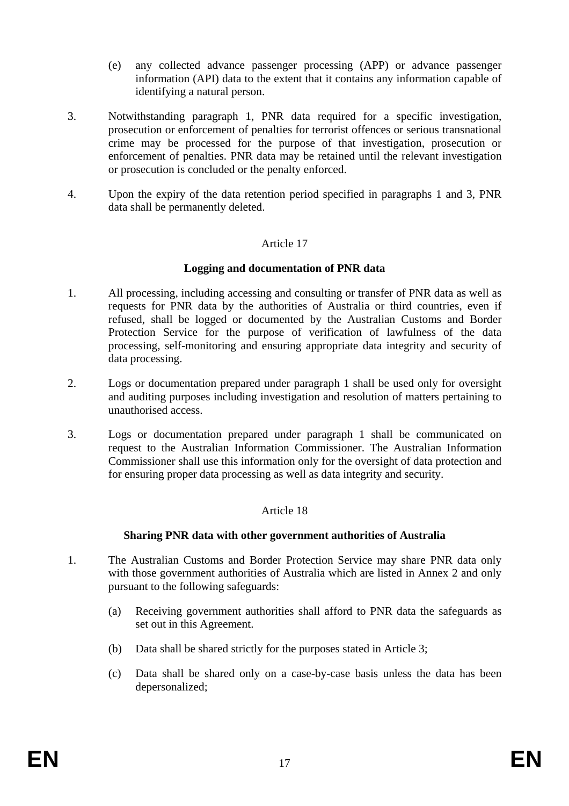- (e) any collected advance passenger processing (APP) or advance passenger information (API) data to the extent that it contains any information capable of identifying a natural person.
- 3. Notwithstanding paragraph 1, PNR data required for a specific investigation, prosecution or enforcement of penalties for terrorist offences or serious transnational crime may be processed for the purpose of that investigation, prosecution or enforcement of penalties. PNR data may be retained until the relevant investigation or prosecution is concluded or the penalty enforced.
- 4. Upon the expiry of the data retention period specified in paragraphs 1 and 3, PNR data shall be permanently deleted.

#### **Logging and documentation of PNR data**

- 1. All processing, including accessing and consulting or transfer of PNR data as well as requests for PNR data by the authorities of Australia or third countries, even if refused, shall be logged or documented by the Australian Customs and Border Protection Service for the purpose of verification of lawfulness of the data processing, self-monitoring and ensuring appropriate data integrity and security of data processing.
- 2. Logs or documentation prepared under paragraph 1 shall be used only for oversight and auditing purposes including investigation and resolution of matters pertaining to unauthorised access.
- 3. Logs or documentation prepared under paragraph 1 shall be communicated on request to the Australian Information Commissioner. The Australian Information Commissioner shall use this information only for the oversight of data protection and for ensuring proper data processing as well as data integrity and security.

### Article 18

### **Sharing PNR data with other government authorities of Australia**

- 1. The Australian Customs and Border Protection Service may share PNR data only with those government authorities of Australia which are listed in Annex 2 and only pursuant to the following safeguards:
	- (a) Receiving government authorities shall afford to PNR data the safeguards as set out in this Agreement.
	- (b) Data shall be shared strictly for the purposes stated in Article 3;
	- (c) Data shall be shared only on a case-by-case basis unless the data has been depersonalized;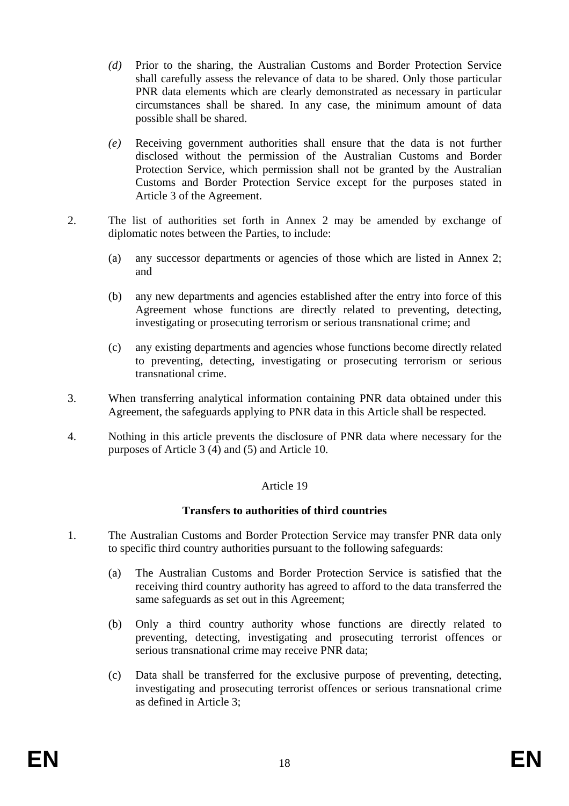- *(d)* Prior to the sharing, the Australian Customs and Border Protection Service shall carefully assess the relevance of data to be shared. Only those particular PNR data elements which are clearly demonstrated as necessary in particular circumstances shall be shared. In any case, the minimum amount of data possible shall be shared.
- *(e)* Receiving government authorities shall ensure that the data is not further disclosed without the permission of the Australian Customs and Border Protection Service, which permission shall not be granted by the Australian Customs and Border Protection Service except for the purposes stated in Article 3 of the Agreement.
- 2. The list of authorities set forth in Annex 2 may be amended by exchange of diplomatic notes between the Parties, to include:
	- (a) any successor departments or agencies of those which are listed in Annex 2; and
	- (b) any new departments and agencies established after the entry into force of this Agreement whose functions are directly related to preventing, detecting, investigating or prosecuting terrorism or serious transnational crime; and
	- (c) any existing departments and agencies whose functions become directly related to preventing, detecting, investigating or prosecuting terrorism or serious transnational crime.
- 3. When transferring analytical information containing PNR data obtained under this Agreement, the safeguards applying to PNR data in this Article shall be respected.
- 4. Nothing in this article prevents the disclosure of PNR data where necessary for the purposes of Article 3 (4) and (5) and Article 10.

### **Transfers to authorities of third countries**

- 1. The Australian Customs and Border Protection Service may transfer PNR data only to specific third country authorities pursuant to the following safeguards:
	- (a) The Australian Customs and Border Protection Service is satisfied that the receiving third country authority has agreed to afford to the data transferred the same safeguards as set out in this Agreement;
	- (b) Only a third country authority whose functions are directly related to preventing, detecting, investigating and prosecuting terrorist offences or serious transnational crime may receive PNR data;
	- (c) Data shall be transferred for the exclusive purpose of preventing, detecting, investigating and prosecuting terrorist offences or serious transnational crime as defined in Article 3;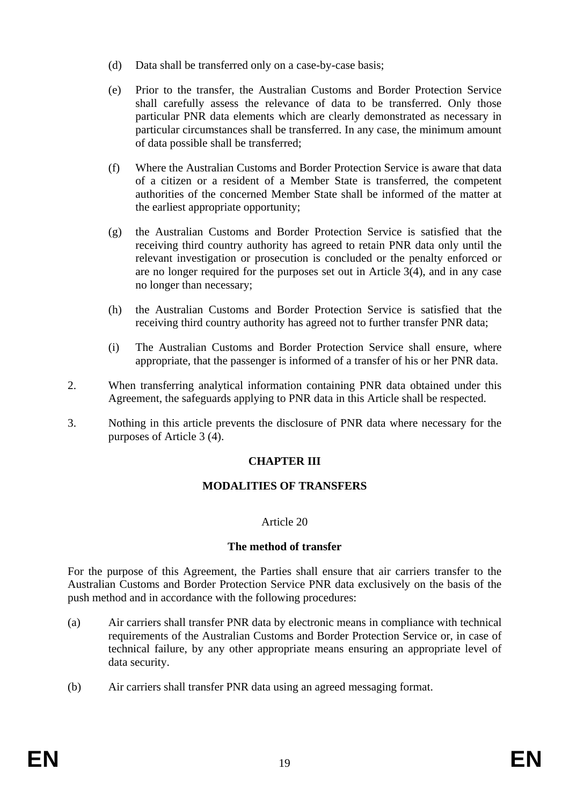- (d) Data shall be transferred only on a case-by-case basis;
- (e) Prior to the transfer, the Australian Customs and Border Protection Service shall carefully assess the relevance of data to be transferred. Only those particular PNR data elements which are clearly demonstrated as necessary in particular circumstances shall be transferred. In any case, the minimum amount of data possible shall be transferred;
- (f) Where the Australian Customs and Border Protection Service is aware that data of a citizen or a resident of a Member State is transferred, the competent authorities of the concerned Member State shall be informed of the matter at the earliest appropriate opportunity;
- (g) the Australian Customs and Border Protection Service is satisfied that the receiving third country authority has agreed to retain PNR data only until the relevant investigation or prosecution is concluded or the penalty enforced or are no longer required for the purposes set out in Article 3(4), and in any case no longer than necessary;
- (h) the Australian Customs and Border Protection Service is satisfied that the receiving third country authority has agreed not to further transfer PNR data;
- (i) The Australian Customs and Border Protection Service shall ensure, where appropriate, that the passenger is informed of a transfer of his or her PNR data.
- 2. When transferring analytical information containing PNR data obtained under this Agreement, the safeguards applying to PNR data in this Article shall be respected.
- 3. Nothing in this article prevents the disclosure of PNR data where necessary for the purposes of Article 3 (4).

### **CHAPTER III**

## **MODALITIES OF TRANSFERS**

### Article 20

### **The method of transfer**

For the purpose of this Agreement, the Parties shall ensure that air carriers transfer to the Australian Customs and Border Protection Service PNR data exclusively on the basis of the push method and in accordance with the following procedures:

- (a) Air carriers shall transfer PNR data by electronic means in compliance with technical requirements of the Australian Customs and Border Protection Service or, in case of technical failure, by any other appropriate means ensuring an appropriate level of data security.
- (b) Air carriers shall transfer PNR data using an agreed messaging format.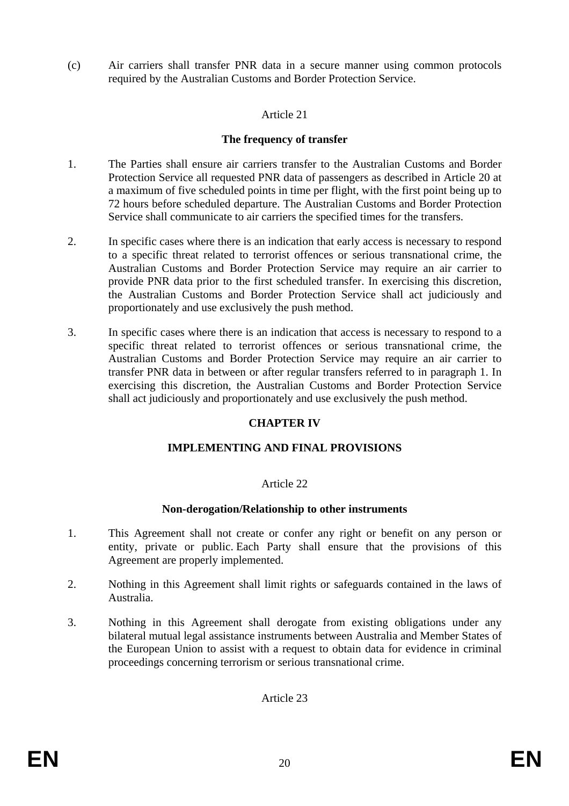(c) Air carriers shall transfer PNR data in a secure manner using common protocols required by the Australian Customs and Border Protection Service.

### Article 21

### **The frequency of transfer**

- 1. The Parties shall ensure air carriers transfer to the Australian Customs and Border Protection Service all requested PNR data of passengers as described in Article 20 at a maximum of five scheduled points in time per flight, with the first point being up to 72 hours before scheduled departure. The Australian Customs and Border Protection Service shall communicate to air carriers the specified times for the transfers.
- 2. In specific cases where there is an indication that early access is necessary to respond to a specific threat related to terrorist offences or serious transnational crime, the Australian Customs and Border Protection Service may require an air carrier to provide PNR data prior to the first scheduled transfer. In exercising this discretion, the Australian Customs and Border Protection Service shall act judiciously and proportionately and use exclusively the push method.
- 3. In specific cases where there is an indication that access is necessary to respond to a specific threat related to terrorist offences or serious transnational crime, the Australian Customs and Border Protection Service may require an air carrier to transfer PNR data in between or after regular transfers referred to in paragraph 1. In exercising this discretion, the Australian Customs and Border Protection Service shall act judiciously and proportionately and use exclusively the push method.

## **CHAPTER IV**

## **IMPLEMENTING AND FINAL PROVISIONS**

## Article 22

### **Non-derogation/Relationship to other instruments**

- 1. This Agreement shall not create or confer any right or benefit on any person or entity, private or public. Each Party shall ensure that the provisions of this Agreement are properly implemented.
- 2. Nothing in this Agreement shall limit rights or safeguards contained in the laws of Australia.
- 3. Nothing in this Agreement shall derogate from existing obligations under any bilateral mutual legal assistance instruments between Australia and Member States of the European Union to assist with a request to obtain data for evidence in criminal proceedings concerning terrorism or serious transnational crime.

Article 23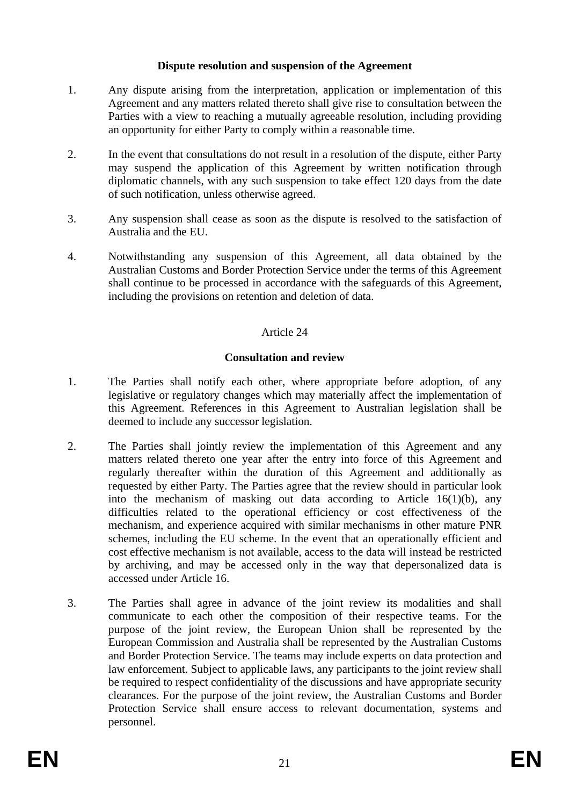### **Dispute resolution and suspension of the Agreement**

- 1. Any dispute arising from the interpretation, application or implementation of this Agreement and any matters related thereto shall give rise to consultation between the Parties with a view to reaching a mutually agreeable resolution, including providing an opportunity for either Party to comply within a reasonable time.
- 2. In the event that consultations do not result in a resolution of the dispute, either Party may suspend the application of this Agreement by written notification through diplomatic channels, with any such suspension to take effect 120 days from the date of such notification, unless otherwise agreed.
- 3. Any suspension shall cease as soon as the dispute is resolved to the satisfaction of Australia and the EU.
- 4. Notwithstanding any suspension of this Agreement, all data obtained by the Australian Customs and Border Protection Service under the terms of this Agreement shall continue to be processed in accordance with the safeguards of this Agreement, including the provisions on retention and deletion of data.

### Article 24

### **Consultation and review**

- 1. The Parties shall notify each other, where appropriate before adoption, of any legislative or regulatory changes which may materially affect the implementation of this Agreement. References in this Agreement to Australian legislation shall be deemed to include any successor legislation.
- 2. The Parties shall jointly review the implementation of this Agreement and any matters related thereto one year after the entry into force of this Agreement and regularly thereafter within the duration of this Agreement and additionally as requested by either Party. The Parties agree that the review should in particular look into the mechanism of masking out data according to Article 16(1)(b), any difficulties related to the operational efficiency or cost effectiveness of the mechanism, and experience acquired with similar mechanisms in other mature PNR schemes, including the EU scheme. In the event that an operationally efficient and cost effective mechanism is not available, access to the data will instead be restricted by archiving, and may be accessed only in the way that depersonalized data is accessed under Article 16.
- 3. The Parties shall agree in advance of the joint review its modalities and shall communicate to each other the composition of their respective teams. For the purpose of the joint review, the European Union shall be represented by the European Commission and Australia shall be represented by the Australian Customs and Border Protection Service. The teams may include experts on data protection and law enforcement. Subject to applicable laws, any participants to the joint review shall be required to respect confidentiality of the discussions and have appropriate security clearances. For the purpose of the joint review, the Australian Customs and Border Protection Service shall ensure access to relevant documentation, systems and personnel.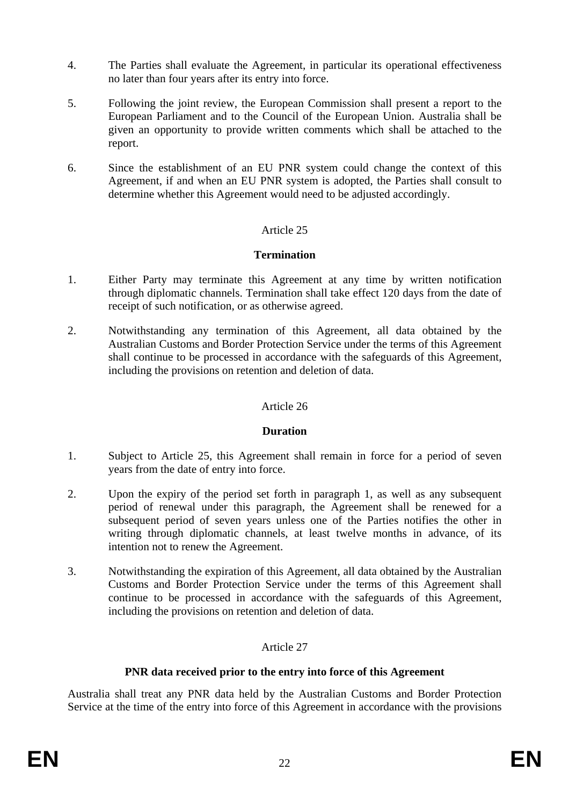- 4. The Parties shall evaluate the Agreement, in particular its operational effectiveness no later than four years after its entry into force.
- 5. Following the joint review, the European Commission shall present a report to the European Parliament and to the Council of the European Union. Australia shall be given an opportunity to provide written comments which shall be attached to the report.
- 6. Since the establishment of an EU PNR system could change the context of this Agreement, if and when an EU PNR system is adopted, the Parties shall consult to determine whether this Agreement would need to be adjusted accordingly.

## **Termination**

- 1. Either Party may terminate this Agreement at any time by written notification through diplomatic channels. Termination shall take effect 120 days from the date of receipt of such notification, or as otherwise agreed.
- 2. Notwithstanding any termination of this Agreement, all data obtained by the Australian Customs and Border Protection Service under the terms of this Agreement shall continue to be processed in accordance with the safeguards of this Agreement, including the provisions on retention and deletion of data.

## Article 26

## **Duration**

- 1. Subject to Article 25, this Agreement shall remain in force for a period of seven years from the date of entry into force.
- 2. Upon the expiry of the period set forth in paragraph 1, as well as any subsequent period of renewal under this paragraph, the Agreement shall be renewed for a subsequent period of seven years unless one of the Parties notifies the other in writing through diplomatic channels, at least twelve months in advance, of its intention not to renew the Agreement.
- 3. Notwithstanding the expiration of this Agreement, all data obtained by the Australian Customs and Border Protection Service under the terms of this Agreement shall continue to be processed in accordance with the safeguards of this Agreement, including the provisions on retention and deletion of data.

## Article 27

### **PNR data received prior to the entry into force of this Agreement**

Australia shall treat any PNR data held by the Australian Customs and Border Protection Service at the time of the entry into force of this Agreement in accordance with the provisions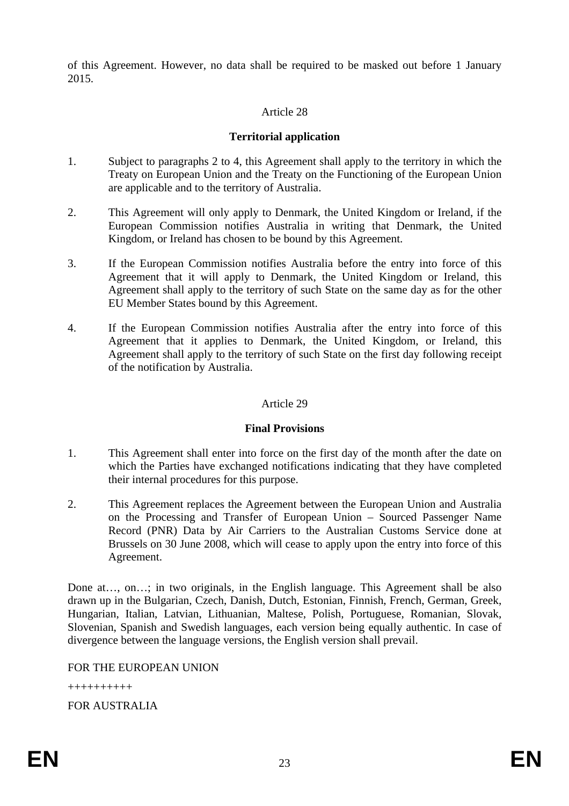of this Agreement. However, no data shall be required to be masked out before 1 January 2015.

### Article 28

### **Territorial application**

- 1. Subject to paragraphs 2 to 4, this Agreement shall apply to the territory in which the Treaty on European Union and the Treaty on the Functioning of the European Union are applicable and to the territory of Australia.
- 2. This Agreement will only apply to Denmark, the United Kingdom or Ireland, if the European Commission notifies Australia in writing that Denmark, the United Kingdom, or Ireland has chosen to be bound by this Agreement.
- 3. If the European Commission notifies Australia before the entry into force of this Agreement that it will apply to Denmark, the United Kingdom or Ireland, this Agreement shall apply to the territory of such State on the same day as for the other EU Member States bound by this Agreement.
- 4. If the European Commission notifies Australia after the entry into force of this Agreement that it applies to Denmark, the United Kingdom, or Ireland, this Agreement shall apply to the territory of such State on the first day following receipt of the notification by Australia.

### Article 29

### **Final Provisions**

- 1. This Agreement shall enter into force on the first day of the month after the date on which the Parties have exchanged notifications indicating that they have completed their internal procedures for this purpose.
- 2. This Agreement replaces the Agreement between the European Union and Australia on the Processing and Transfer of European Union – Sourced Passenger Name Record (PNR) Data by Air Carriers to the Australian Customs Service done at Brussels on 30 June 2008, which will cease to apply upon the entry into force of this Agreement.

Done at…, on…; in two originals, in the English language. This Agreement shall be also drawn up in the Bulgarian, Czech, Danish, Dutch, Estonian, Finnish, French, German, Greek, Hungarian, Italian, Latvian, Lithuanian, Maltese, Polish, Portuguese, Romanian, Slovak, Slovenian, Spanish and Swedish languages, each version being equally authentic. In case of divergence between the language versions, the English version shall prevail.

#### FOR THE EUROPEAN UNION

++++++++++

FOR AUSTRALIA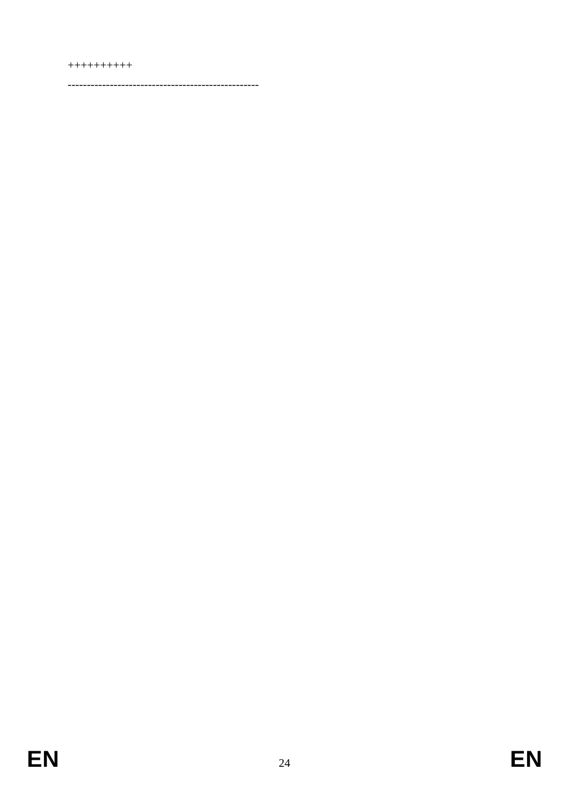$++++++++++$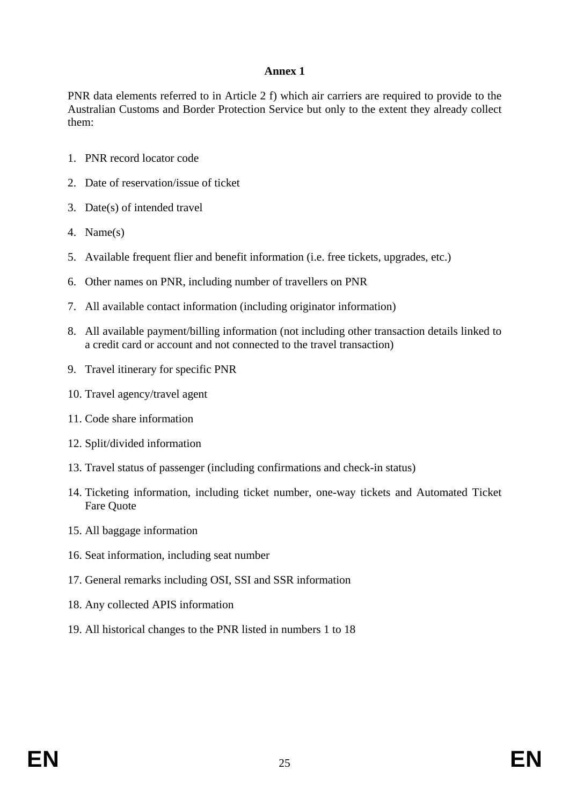### **Annex 1**

PNR data elements referred to in Article 2 f) which air carriers are required to provide to the Australian Customs and Border Protection Service but only to the extent they already collect them:

- 1. PNR record locator code
- 2. Date of reservation/issue of ticket
- 3. Date(s) of intended travel
- 4. Name(s)
- 5. Available frequent flier and benefit information (i.e. free tickets, upgrades, etc.)
- 6. Other names on PNR, including number of travellers on PNR
- 7. All available contact information (including originator information)
- 8. All available payment/billing information (not including other transaction details linked to a credit card or account and not connected to the travel transaction)
- 9. Travel itinerary for specific PNR
- 10. Travel agency/travel agent
- 11. Code share information
- 12. Split/divided information
- 13. Travel status of passenger (including confirmations and check-in status)
- 14. Ticketing information, including ticket number, one-way tickets and Automated Ticket Fare Quote
- 15. All baggage information
- 16. Seat information, including seat number
- 17. General remarks including OSI, SSI and SSR information
- 18. Any collected APIS information
- 19. All historical changes to the PNR listed in numbers 1 to 18